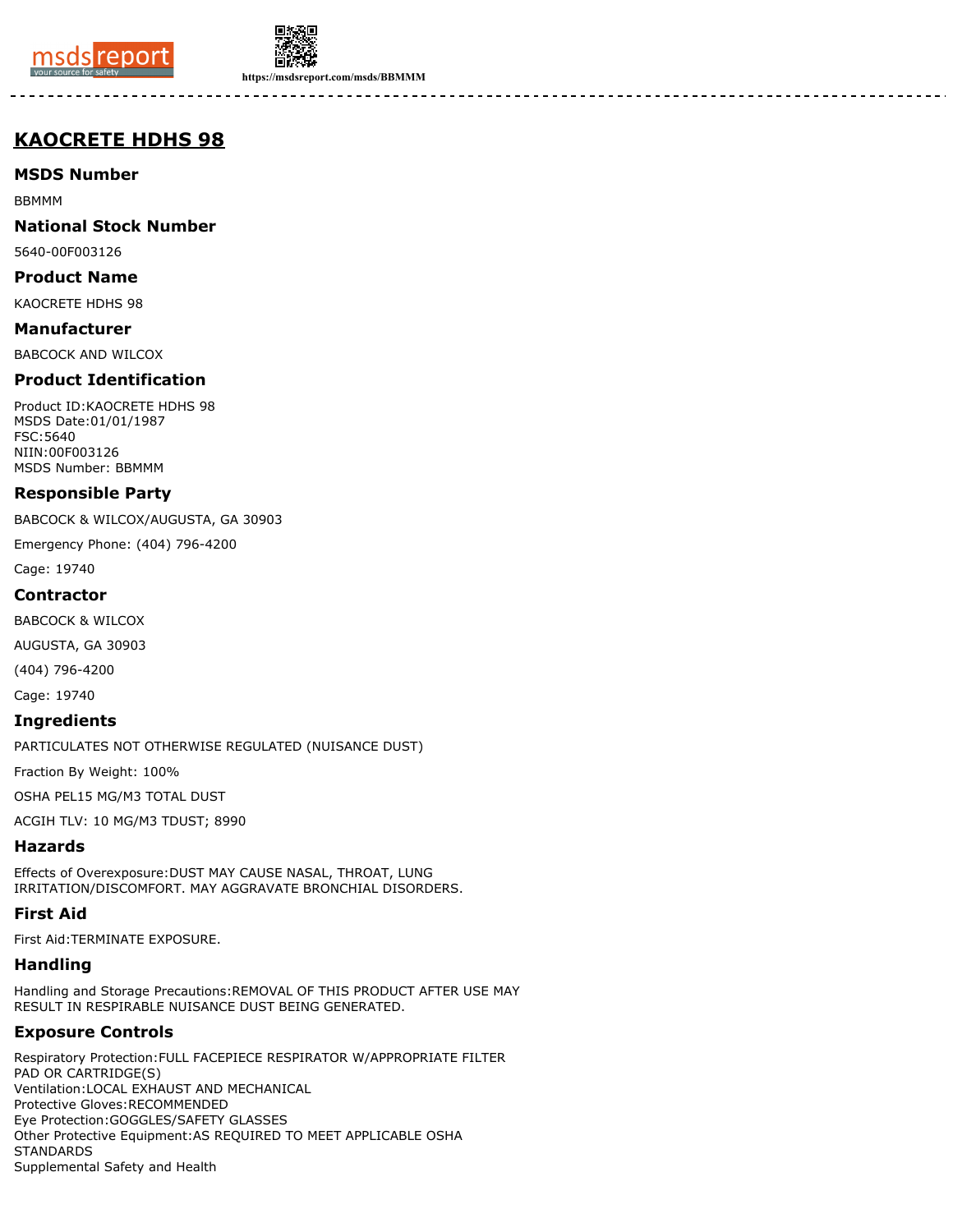



**https://msdsreport.com/msds/BBMMM**

# **KAOCRETE HDHS 98**

**MSDS Number**

BBMMM

**National Stock Number**

5640-00F003126

**Product Name**

KAOCRETE HDHS 98

**Manufacturer**

BABCOCK AND WILCOX

## **Product Identification**

Product ID:KAOCRETE HDHS 98 MSDS Date:01/01/1987 FSC:5640 NIIN:00F003126 MSDS Number: BBMMM

### **Responsible Party**

BABCOCK & WILCOX/AUGUSTA, GA 30903

Emergency Phone: (404) 796-4200

Cage: 19740

#### **Contractor**

BABCOCK & WILCOX

AUGUSTA, GA 30903

(404) 796-4200

Cage: 19740

#### **Ingredients**

PARTICULATES NOT OTHERWISE REGULATED (NUISANCE DUST)

Fraction By Weight: 100%

OSHA PEL15 MG/M3 TOTAL DUST

ACGIH TLV: 10 MG/M3 TDUST; 8990

### **Hazards**

Effects of Overexposure:DUST MAY CAUSE NASAL, THROAT, LUNG IRRITATION/DISCOMFORT. MAY AGGRAVATE BRONCHIAL DISORDERS.

# **First Aid**

First Aid:TERMINATE EXPOSURE.

### **Handling**

Handling and Storage Precautions:REMOVAL OF THIS PRODUCT AFTER USE MAY RESULT IN RESPIRABLE NUISANCE DUST BEING GENERATED.

# **Exposure Controls**

Respiratory Protection:FULL FACEPIECE RESPIRATOR W/APPROPRIATE FILTER PAD OR CARTRIDGE(S) Ventilation:LOCAL EXHAUST AND MECHANICAL Protective Gloves:RECOMMENDED Eye Protection:GOGGLES/SAFETY GLASSES Other Protective Equipment:AS REQUIRED TO MEET APPLICABLE OSHA **STANDARDS** Supplemental Safety and Health